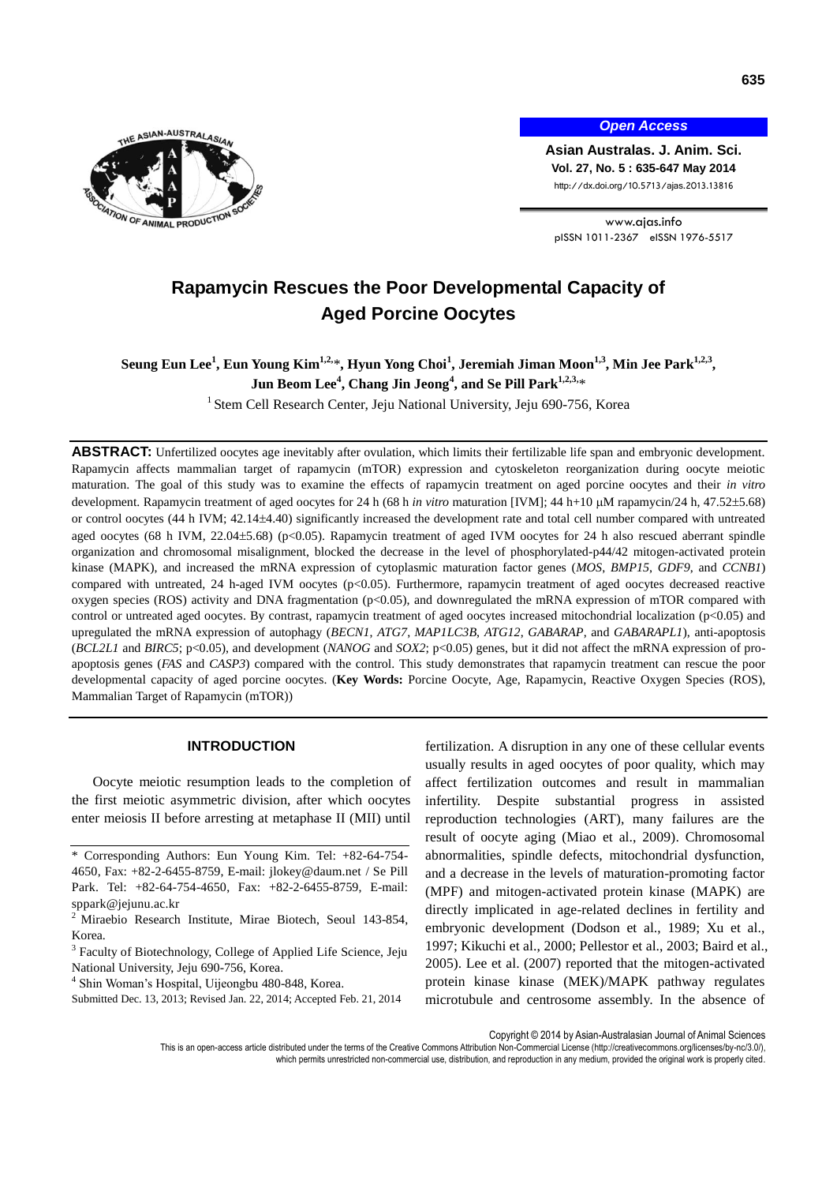

*Open Access*

**Asian Australas. J. Anim. Sci. Vol. 27, No. 5 : 635-647 May 2014** http://dx.doi.org/10.5713/ajas.2013.13816

www.ajas.info pISSN 1011-2367 eISSN 1976-5517

# **Rapamycin Rescues the Poor Developmental Capacity of Aged Porcine Oocytes**

**Seung Eun Lee<sup>1</sup> , Eun Young Kim1,2,** \***, Hyun Yong Choi<sup>1</sup> , Jeremiah Jiman Moon1,3, Min Jee Park1,2,3 , Jun Beom Lee<sup>4</sup> , Chang Jin Jeong<sup>4</sup> , and Se Pill Park1,2,3,** \*

<sup>1</sup> Stem Cell Research Center, Jeju National University, Jeju 690-756, Korea

**ABSTRACT:** Unfertilized oocytes age inevitably after ovulation, which limits their fertilizable life span and embryonic development. Rapamycin affects mammalian target of rapamycin (mTOR) expression and cytoskeleton reorganization during oocyte meiotic maturation. The goal of this study was to examine the effects of rapamycin treatment on aged porcine oocytes and their *in vitro*  development. Rapamycin treatment of aged oocytes for 24 h (68 h *in vitro* maturation [IVM]; 44 h+10  $\mu$ M rapamycin/24 h, 47.52±5.68) or control oocytes (44 h IVM; 42.144.40) significantly increased the development rate and total cell number compared with untreated aged oocytes (68 h IVM,  $22.04\pm5.68$ ) (p<0.05). Rapamycin treatment of aged IVM oocytes for 24 h also rescued aberrant spindle organization and chromosomal misalignment, blocked the decrease in the level of phosphorylated-p44/42 mitogen-activated protein kinase (MAPK), and increased the mRNA expression of cytoplasmic maturation factor genes (*MOS*, *BMP15*, *GDF9*, and *CCNB1*) compared with untreated, 24 h-aged IVM oocytes (p<0.05). Furthermore, rapamycin treatment of aged oocytes decreased reactive oxygen species (ROS) activity and DNA fragmentation ( $p<0.05$ ), and downregulated the mRNA expression of mTOR compared with control or untreated aged oocytes. By contrast, rapamycin treatment of aged oocytes increased mitochondrial localization (p<0.05) and upregulated the mRNA expression of autophagy (*BECN1*, *ATG7*, *MAP1LC3B*, *ATG12*, *GABARAP*, and *GABARAPL1*), anti-apoptosis (*BCL2L1* and *BIRC5*; p<0.05), and development (*NANOG* and *SOX2*; p<0.05) genes, but it did not affect the mRNA expression of proapoptosis genes (*FAS* and *CASP3*) compared with the control. This study demonstrates that rapamycin treatment can rescue the poor developmental capacity of aged porcine oocytes. (**Key Words:** Porcine Oocyte, Age, Rapamycin, Reactive Oxygen Species (ROS), Mammalian Target of Rapamycin (mTOR))

### **INTRODUCTION**

Oocyte meiotic resumption leads to the completion of the first meiotic asymmetric division, after which oocytes enter meiosis II before arresting at metaphase II (MII) until

fertilization. A disruption in any one of these cellular events usually results in aged oocytes of poor quality, which may affect fertilization outcomes and result in mammalian infertility. Despite substantial progress in assisted reproduction technologies (ART), many failures are the result of oocyte aging (Miao et al., 2009). Chromosomal abnormalities, spindle defects, mitochondrial dysfunction, and a decrease in the levels of maturation-promoting factor (MPF) and mitogen-activated protein kinase (MAPK) are directly implicated in age-related declines in fertility and embryonic development (Dodson et al., 1989; Xu et al., 1997; Kikuchi et al., 2000; Pellestor et al., 2003; Baird et al., 2005). Lee et al. (2007) reported that the mitogen-activated protein kinase kinase (MEK)/MAPK pathway regulates microtubule and centrosome assembly. In the absence of

<sup>\*</sup> Corresponding Authors: Eun Young Kim. Tel: +82-64-754- 4650, Fax: +82-2-6455-8759, E-mail: jlokey@daum.net / Se Pill Park. Tel: +82-64-754-4650, Fax: +82-2-6455-8759, E-mail: sppark@jejunu.ac.kr

<sup>&</sup>lt;sup>2</sup> Miraebio Research Institute, Mirae Biotech, Seoul 143-854, Korea.

<sup>&</sup>lt;sup>3</sup> Faculty of Biotechnology, College of Applied Life Science, Jeju National University, Jeju 690-756, Korea.

<sup>4</sup> Shin Woman's Hospital, Uijeongbu 480-848, Korea.

Submitted Dec. 13, 2013; Revised Jan. 22, 2014; Accepted Feb. 21, 2014

Copyright © 2014 by Asian-Australasian Journal of Animal Sciences

This is an open-access article distributed under the terms of the Creative Commons Attribution Non-Commercial License [\(http://creativecommons.org/licenses/by-nc/3.0/\),](http://creativecommons.org/licenses/by-nc/3.0/) which permits unrestricted non-commercial use, distribution, and reproduction in any medium, provided the original work is properly cited.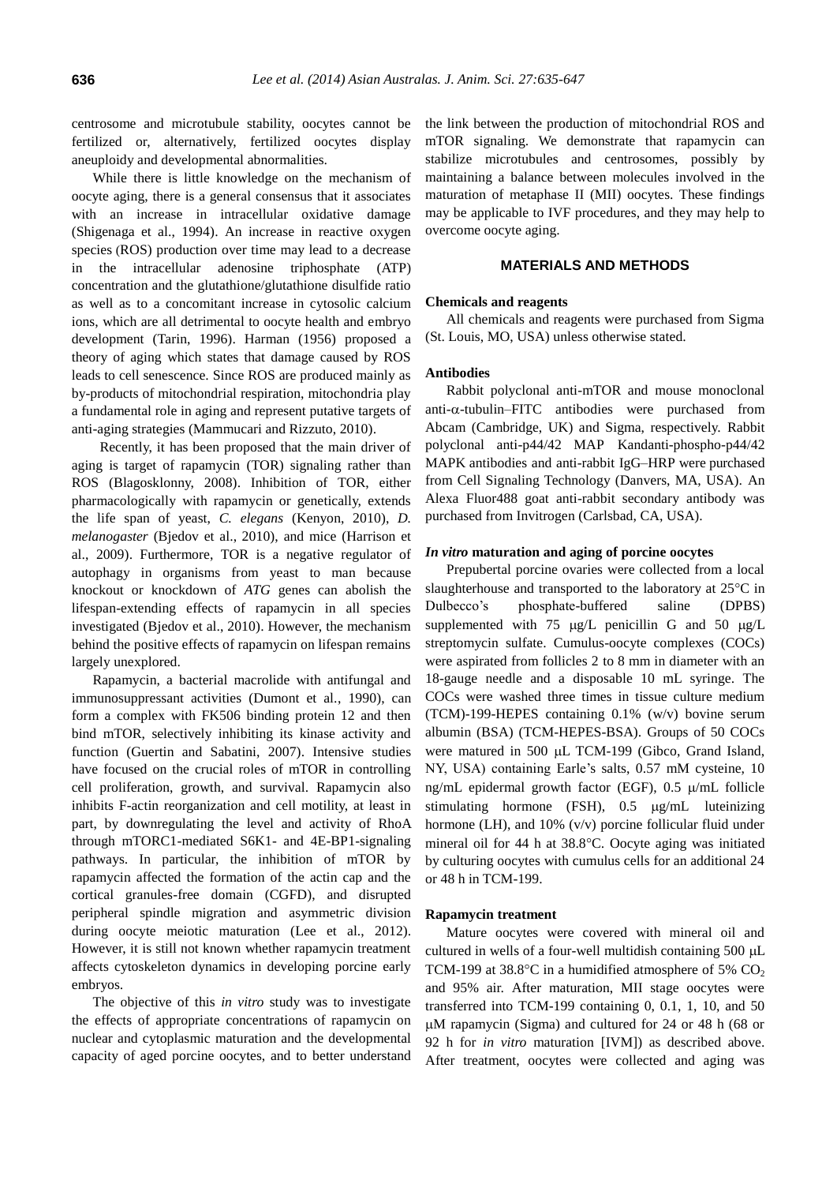centrosome and microtubule stability, oocytes cannot be fertilized or, alternatively, fertilized oocytes display aneuploidy and developmental abnormalities.

While there is little knowledge on the mechanism of oocyte aging, there is a general consensus that it associates with an increase in intracellular oxidative damage (Shigenaga et al., 1994). An increase in reactive oxygen species (ROS) production over time may lead to a decrease in the intracellular adenosine triphosphate (ATP) concentration and the glutathione/glutathione disulfide ratio as well as to a concomitant increase in cytosolic calcium ions, which are all detrimental to oocyte health and embryo development (Tarin, 1996). Harman (1956) proposed a theory of aging which states that damage caused by ROS leads to cell senescence. Since ROS are produced mainly as by-products of mitochondrial respiration, mitochondria play a fundamental role in aging and represent putative targets of anti-aging strategies (Mammucari and Rizzuto, 2010).

Recently, it has been proposed that the main driver of aging is target of rapamycin (TOR) signaling rather than ROS (Blagosklonny, 2008). Inhibition of TOR, either pharmacologically with rapamycin or genetically, extends the life span of yeast, *C. elegans* (Kenyon, 2010), *D. melanogaster* (Bjedov et al., 2010), and mice (Harrison et al., 2009). Furthermore, TOR is a negative regulator of autophagy in organisms from yeast to man because knockout or knockdown of *ATG* genes can abolish the lifespan-extending effects of rapamycin in all species investigated (Bjedov et al., 2010). However, the mechanism behind the positive effects of rapamycin on lifespan remains largely unexplored.

Rapamycin, a bacterial macrolide with antifungal and immunosuppressant activities (Dumont et al., 1990), can form a complex with FK506 binding protein 12 and then bind mTOR, selectively inhibiting its kinase activity and function (Guertin and Sabatini, 2007). Intensive studies have focused on the crucial roles of mTOR in controlling cell proliferation, growth, and survival. Rapamycin also inhibits F-actin reorganization and cell motility, at least in part, by downregulating the level and activity of RhoA through mTORC1-mediated S6K1- and 4E-BP1-signaling pathways. In particular, the inhibition of mTOR by rapamycin affected the formation of the actin cap and the cortical granules-free domain (CGFD), and disrupted peripheral spindle migration and asymmetric division during oocyte meiotic maturation (Lee et al., 2012). However, it is still not known whether rapamycin treatment affects cytoskeleton dynamics in developing porcine early embryos.

The objective of this *in vitro* study was to investigate the effects of appropriate concentrations of rapamycin on nuclear and cytoplasmic maturation and the developmental capacity of aged porcine oocytes, and to better understand the link between the production of mitochondrial ROS and mTOR signaling. We demonstrate that rapamycin can stabilize microtubules and centrosomes, possibly by maintaining a balance between molecules involved in the maturation of metaphase II (MII) oocytes. These findings may be applicable to IVF procedures, and they may help to overcome oocyte aging.

## **MATERIALS AND METHODS**

#### **Chemicals and reagents**

All chemicals and reagents were purchased from Sigma (St. Louis, MO, USA) unless otherwise stated.

# **Antibodies**

Rabbit polyclonal anti-mTOR and mouse monoclonal anti- $\alpha$ -tubulin–FITC antibodies were purchased from Abcam (Cambridge, UK) and Sigma, respectively. Rabbit polyclonal anti-p44/42 MAP Kandanti-phospho-p44/42 MAPK antibodies and anti-rabbit IgG–HRP were purchased from Cell Signaling Technology (Danvers, MA, USA). An Alexa Fluor488 goat anti-rabbit secondary antibody was purchased from Invitrogen (Carlsbad, CA, USA).

#### *In vitro* **maturation and aging of porcine oocytes**

Prepubertal porcine ovaries were collected from a local slaughterhouse and transported to the laboratory at  $25^{\circ}$ C in Dulbecco's phosphate-buffered saline (DPBS) supplemented with 75  $\mu$ g/L penicillin G and 50  $\mu$ g/L streptomycin sulfate. Cumulus-oocyte complexes (COCs) were aspirated from follicles 2 to 8 mm in diameter with an 18-gauge needle and a disposable 10 mL syringe. The COCs were washed three times in tissue culture medium (TCM)-199-HEPES containing 0.1% (w/v) bovine serum albumin (BSA) (TCM-HEPES-BSA). Groups of 50 COCs were matured in 500 µL TCM-199 (Gibco, Grand Island, NY, USA) containing Earle's salts, 0.57 mM cysteine, 10 ng/mL epidermal growth factor (EGF),  $0.5 \mu$ /mL follicle stimulating hormone (FSH), 0.5 µg/mL luteinizing hormone (LH), and 10% (v/v) porcine follicular fluid under mineral oil for  $44$  h at  $38.8^{\circ}$ C. Oocyte aging was initiated by culturing oocytes with cumulus cells for an additional 24 or 48 h in TCM-199.

### **Rapamycin treatment**

Mature oocytes were covered with mineral oil and cultured in wells of a four-well multidish containing  $500 \mu L$ TCM-199 at  $38.8^{\circ}$ C in a humidified atmosphere of 5% CO<sub>2</sub> and 95% air. After maturation, MII stage oocytes were transferred into TCM-199 containing 0, 0.1, 1, 10, and 50 M rapamycin (Sigma) and cultured for 24 or 48 h (68 or 92 h for *in vitro* maturation [IVM]) as described above. After treatment, oocytes were collected and aging was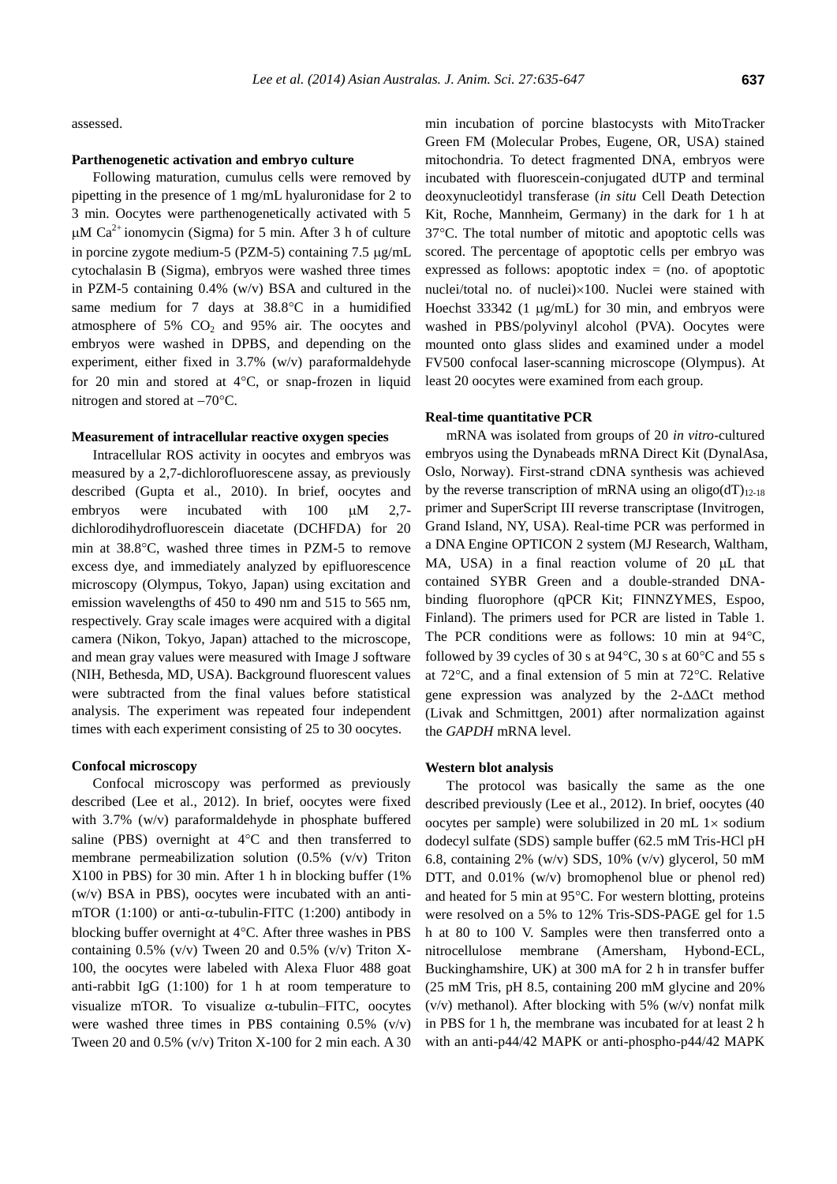assessed.

# **Parthenogenetic activation and embryo culture**

Following maturation, cumulus cells were removed by pipetting in the presence of 1 mg/mL hyaluronidase for 2 to 3 min. Oocytes were parthenogenetically activated with 5  $\mu$ M Ca<sup>2+</sup> ionomycin (Sigma) for 5 min. After 3 h of culture in porcine zygote medium-5 (PZM-5) containing  $7.5 \mu$ g/mL cytochalasin B (Sigma), embryos were washed three times in PZM-5 containing 0.4% (w/v) BSA and cultured in the same medium for 7 days at  $38.8^{\circ}$ C in a humidified atmosphere of 5%  $CO<sub>2</sub>$  and 95% air. The oocytes and embryos were washed in DPBS, and depending on the experiment, either fixed in 3.7% (w/v) paraformaldehyde for 20 min and stored at  $4^{\circ}C$ , or snap-frozen in liquid nitrogen and stored at  $-70^{\circ}$ C.

#### **Measurement of intracellular reactive oxygen species**

Intracellular ROS activity in oocytes and embryos was measured by a 2,7-dichlorofluorescene assay, as previously described (Gupta et al., 2010). In brief, oocytes and embryos were incubated with  $100 \mu M$  2,7dichlorodihydrofluorescein diacetate (DCHFDA) for 20 min at  $38.8^{\circ}$ C, washed three times in PZM-5 to remove excess dye, and immediately analyzed by epifluorescence microscopy (Olympus, Tokyo, Japan) using excitation and emission wavelengths of 450 to 490 nm and 515 to 565 nm, respectively. Gray scale images were acquired with a digital camera (Nikon, Tokyo, Japan) attached to the microscope, and mean gray values were measured with Image J software (NIH, Bethesda, MD, USA). Background fluorescent values were subtracted from the final values before statistical analysis. The experiment was repeated four independent times with each experiment consisting of 25 to 30 oocytes.

#### **Confocal microscopy**

Confocal microscopy was performed as previously described (Lee et al., 2012). In brief, oocytes were fixed with 3.7% (w/v) paraformaldehyde in phosphate buffered saline (PBS) overnight at  $4^{\circ}$ C and then transferred to membrane permeabilization solution (0.5% (v/v) Triton X100 in PBS) for 30 min. After 1 h in blocking buffer (1% (w/v) BSA in PBS), oocytes were incubated with an antimTOR (1:100) or anti- $\alpha$ -tubulin-FITC (1:200) antibody in blocking buffer overnight at  $4^{\circ}$ C. After three washes in PBS containing  $0.5\%$  (v/v) Tween 20 and  $0.5\%$  (v/v) Triton X-100, the oocytes were labeled with Alexa Fluor 488 goat anti-rabbit IgG (1:100) for 1 h at room temperature to visualize mTOR. To visualize  $\alpha$ -tubulin–FITC, oocytes were washed three times in PBS containing  $0.5\%$  (v/v) Tween 20 and  $0.5\%$  (v/v) Triton X-100 for 2 min each. A 30 min incubation of porcine blastocysts with MitoTracker Green FM (Molecular Probes, Eugene, OR, USA) stained mitochondria. To detect fragmented DNA, embryos were incubated with fluorescein-conjugated dUTP and terminal deoxynucleotidyl transferase (*in situ* Cell Death Detection Kit, Roche, Mannheim, Germany) in the dark for 1 h at 37C. The total number of mitotic and apoptotic cells was scored. The percentage of apoptotic cells per embryo was expressed as follows: apoptotic index  $=$  (no. of apoptotic nuclei/total no. of nuclei)×100. Nuclei were stained with Hoechst  $33342$  (1  $\mu$ g/mL) for 30 min, and embryos were washed in PBS/polyvinyl alcohol (PVA). Oocytes were mounted onto glass slides and examined under a model FV500 confocal laser-scanning microscope (Olympus). At least 20 oocytes were examined from each group.

#### **Real-time quantitative PCR**

mRNA was isolated from groups of 20 *in vitro*-cultured embryos using the Dynabeads mRNA Direct Kit (DynalAsa, Oslo, Norway). First-strand cDNA synthesis was achieved by the reverse transcription of mRNA using an oligo(dT)<sub>12-18</sub> primer and SuperScript III reverse transcriptase (Invitrogen, Grand Island, NY, USA). Real-time PCR was performed in a DNA Engine OPTICON 2 system (MJ Research, Waltham, MA, USA) in a final reaction volume of  $20 \mu L$  that contained SYBR Green and a double-stranded DNAbinding fluorophore (qPCR Kit; FINNZYMES, Espoo, Finland). The primers used for PCR are listed in Table 1. The PCR conditions were as follows: 10 min at  $94^{\circ}$ C, followed by 39 cycles of 30 s at  $94^{\circ}$ C, 30 s at 60 $^{\circ}$ C and 55 s at  $72^{\circ}$ C, and a final extension of 5 min at  $72^{\circ}$ C. Relative gene expression was analyzed by the 2- $\Delta\Delta$ Ct method (Livak and Schmittgen, 2001) after normalization against the *GAPDH* mRNA level.

#### **Western blot analysis**

The protocol was basically the same as the one described previously (Lee et al., 2012). In brief, oocytes (40 oocytes per sample) were solubilized in 20 mL  $1 \times$  sodium dodecyl sulfate (SDS) sample buffer (62.5 mM Tris-HCl pH 6.8, containing 2% (w/v) SDS, 10% (v/v) glycerol, 50 mM DTT, and  $0.01\%$  (w/v) bromophenol blue or phenol red) and heated for 5 min at  $95^{\circ}$ C. For western blotting, proteins were resolved on a 5% to 12% Tris-SDS-PAGE gel for 1.5 h at 80 to 100 V. Samples were then transferred onto a nitrocellulose membrane (Amersham, Hybond-ECL, Buckinghamshire, UK) at 300 mA for 2 h in transfer buffer (25 mM Tris, pH 8.5, containing 200 mM glycine and 20%  $(v/v)$  methanol). After blocking with 5%  $(w/v)$  nonfat milk in PBS for 1 h, the membrane was incubated for at least 2 h with an anti-p44/42 MAPK or anti-phospho-p44/42 MAPK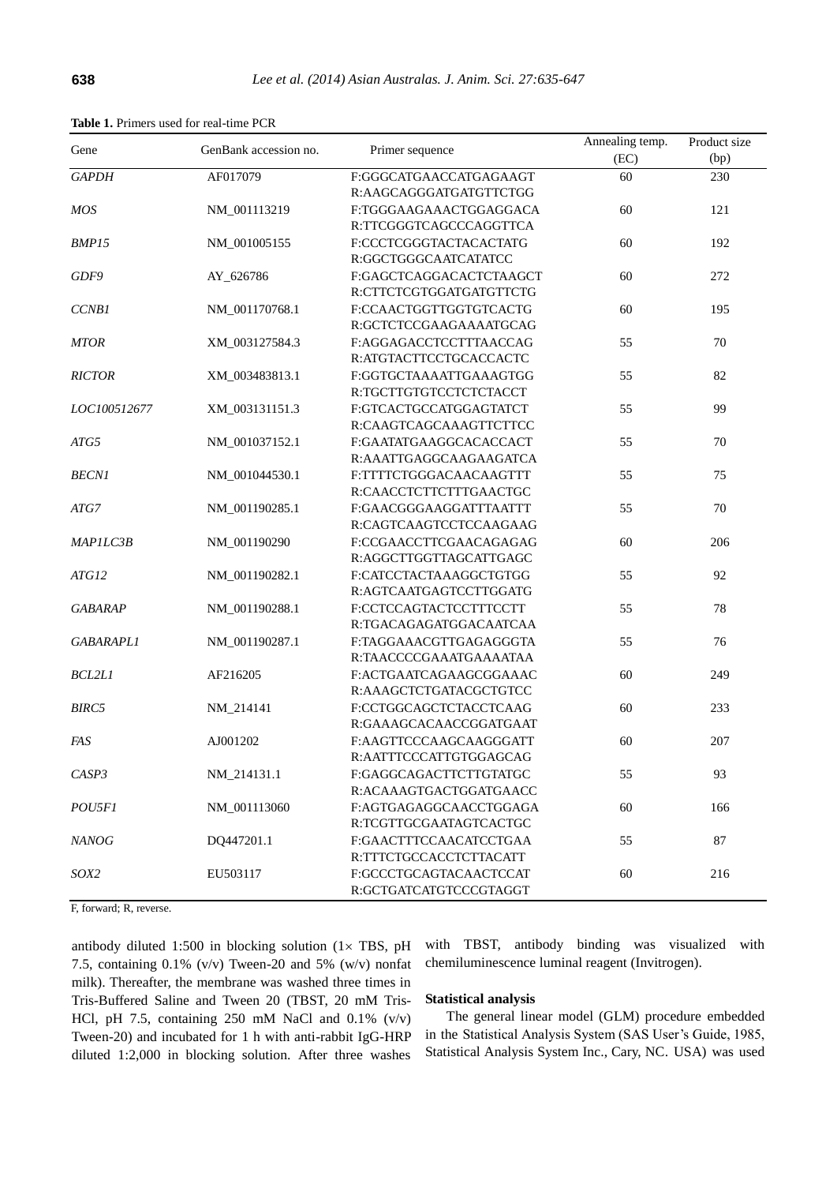| <b>Table 1.</b> Primers used for real-time PCR |  |  |  |
|------------------------------------------------|--|--|--|
|                                                |  |  |  |

| Gene             | GenBank accession no. | Primer sequence         | Annealing temp. | Product size |
|------------------|-----------------------|-------------------------|-----------------|--------------|
|                  |                       |                         | (EC)            | (bp)         |
| <b>GAPDH</b>     | AF017079              | F:GGGCATGAACCATGAGAAGT  | 60              | 230          |
|                  |                       | R:AAGCAGGGATGATGTTCTGG  |                 |              |
| <b>MOS</b>       | NM_001113219          | F:TGGGAAGAAACTGGAGGACA  | 60              | 121          |
|                  |                       | R:TTCGGGTCAGCCCAGGTTCA  |                 |              |
| BMP15            | NM_001005155          | F:CCCTCGGGTACTACACTATG  | 60              | 192          |
|                  |                       | R:GGCTGGGCAATCATATCC    |                 |              |
| GDF9             | AY_626786             | F:GAGCTCAGGACACTCTAAGCT | 60              | 272          |
|                  |                       | R:CTTCTCGTGGATGATGTTCTG |                 |              |
| <b>CCNB1</b>     | NM_001170768.1        | F:CCAACTGGTTGGTGTCACTG  | 60              | 195          |
|                  |                       | R:GCTCTCCGAAGAAAATGCAG  |                 |              |
| <b>MTOR</b>      | XM_003127584.3        | F:AGGAGACCTCCTTTAACCAG  | 55              | 70           |
|                  |                       | R:ATGTACTTCCTGCACCACTC  |                 |              |
| <b>RICTOR</b>    | XM_003483813.1        | F:GGTGCTAAAATTGAAAGTGG  | 55              | 82           |
|                  |                       | R:TGCTTGTGTCCTCTCTACCT  |                 |              |
| LOC100512677     | XM_003131151.3        | F:GTCACTGCCATGGAGTATCT  | 55              | 99           |
|                  |                       | R:CAAGTCAGCAAAGTTCTTCC  |                 |              |
| ATG5             | NM_001037152.1        | F:GAATATGAAGGCACACCACT  | 55              | $70\,$       |
|                  |                       | R:AAATTGAGGCAAGAAGATCA  |                 |              |
| <b>BECN1</b>     | NM_001044530.1        | F:TTTTCTGGGACAACAAGTTT  | 55              | 75           |
|                  |                       | R:CAACCTCTTCTTTGAACTGC  |                 |              |
| ATG7             | NM_001190285.1        | F:GAACGGGAAGGATTTAATTT  | 55              | 70           |
|                  |                       | R:CAGTCAAGTCCTCCAAGAAG  |                 |              |
| MAP1LC3B         | NM_001190290          | F:CCGAACCTTCGAACAGAGAG  | 60              | 206          |
|                  |                       | R:AGGCTTGGTTAGCATTGAGC  |                 |              |
| ATG12            | NM_001190282.1        | F:CATCCTACTAAAGGCTGTGG  | 55              | 92           |
|                  |                       | R:AGTCAATGAGTCCTTGGATG  |                 |              |
| <b>GABARAP</b>   | NM_001190288.1        | F:CCTCCAGTACTCCTTTCCTT  | 55              | 78           |
|                  |                       | R:TGACAGAGATGGACAATCAA  |                 |              |
| <b>GABARAPLI</b> | NM_001190287.1        | F:TAGGAAACGTTGAGAGGGTA  | 55              | 76           |
|                  |                       | R:TAACCCCGAAATGAAAATAA  |                 |              |
| <b>BCL2L1</b>    | AF216205              | F:ACTGAATCAGAAGCGGAAAC  | 60              | 249          |
|                  |                       | R:AAAGCTCTGATACGCTGTCC  |                 |              |
| <b>BIRC5</b>     | NM_214141             | F:CCTGGCAGCTCTACCTCAAG  | 60              | 233          |
|                  |                       | R:GAAAGCACAACCGGATGAAT  |                 |              |
| FAS              | AJ001202              | F:AAGTTCCCAAGCAAGGGATT  | 60              | 207          |
|                  |                       | R:AATTTCCCATTGTGGAGCAG  |                 |              |
| CASP3            | NM_214131.1           | F:GAGGCAGACTTCTTGTATGC  | 55              | 93           |
|                  |                       | R:ACAAAGTGACTGGATGAACC  |                 |              |
| POU5F1           | NM_001113060          | F:AGTGAGAGGCAACCTGGAGA  | 60              | 166          |
|                  |                       | R:TCGTTGCGAATAGTCACTGC  |                 |              |
| <b>NANOG</b>     | DQ447201.1            | F:GAACTTTCCAACATCCTGAA  | 55              | 87           |
|                  |                       | R:TTTCTGCCACCTCTTACATT  |                 |              |
| SOX2             | EU503117              | F:GCCCTGCAGTACAACTCCAT  | 60              | 216          |
|                  |                       | R:GCTGATCATGTCCCGTAGGT  |                 |              |

F, forward; R, reverse.

antibody diluted 1:500 in blocking solution ( $1 \times TBS$ , pH 7.5, containing  $0.1\%$  (v/v) Tween-20 and 5% (w/v) nonfat milk). Thereafter, the membrane was washed three times in Tris-Buffered Saline and Tween 20 (TBST, 20 mM Tris-HCl, pH 7.5, containing 250 mM NaCl and  $0.1\%$  (v/v) Tween-20) and incubated for 1 h with anti-rabbit IgG-HRP diluted 1:2,000 in blocking solution. After three washes

with TBST, antibody binding was visualized with chemiluminescence luminal reagent (Invitrogen).

# **Statistical analysis**

The general linear model (GLM) procedure embedded in the Statistical Analysis System (SAS User's Guide, 1985, Statistical Analysis System Inc., Cary, NC. USA) was used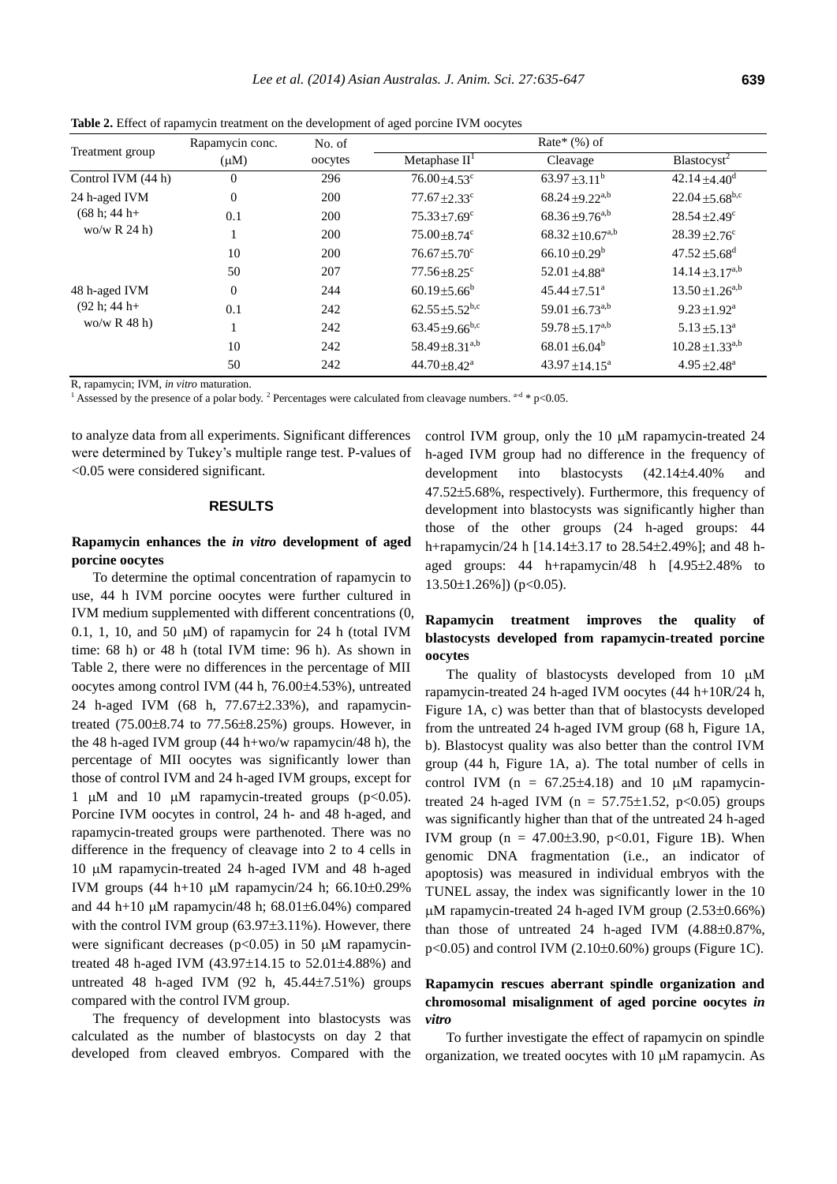| Treatment group                                   | Rapamycin conc. | No. of  | Rate* $(\%)$ of                 |                                 |                                 |  |
|---------------------------------------------------|-----------------|---------|---------------------------------|---------------------------------|---------------------------------|--|
|                                                   | $(\mu M)$       | oocytes | Metaphase $II1$                 | Cleavage                        | Blastocyst <sup>2</sup>         |  |
| Control IVM (44 h)                                | $\mathbf{0}$    | 296     | $76.00 \pm 4.53$ °              | $63.97 \pm 3.11^b$              | $42.14 \pm 4.40$ <sup>d</sup>   |  |
| 24 h-aged IVM<br>$(68 h; 44 h+$<br>wo/w $R$ 24 h) | $\mathbf{0}$    | 200     | $77.67 \pm 2.33$ c              | $68.24 \pm 9.22^{a,b}$          | $22.04 \pm 5.68$ <sup>b,c</sup> |  |
|                                                   | 0.1             | 200     | $75.33 \pm 7.69$ <sup>c</sup>   | $68.36 + 9.76^{a,b}$            | $28.54 + 2.49^c$                |  |
|                                                   |                 | 200     | $75.00 \pm 8.74$ c              | $68.32 \pm 10.67^{a,b}$         | $28.39 \pm 2.76$ <sup>c</sup>   |  |
|                                                   | 10              | 200     | $76.67 + 5.70^{\circ}$          | $66.10 \pm 0.29^b$              | $47.52 \pm 5.68$ <sup>d</sup>   |  |
|                                                   | 50              | 207     | $77.56 \pm 8.25$ <sup>c</sup>   | $52.01 + 4.88$ <sup>a</sup>     | $14.14 \pm 3.17^{a,b}$          |  |
| 48 h-aged IVM<br>$(92 h; 44 h+$<br>wo/w R $48$ h) | $\Omega$        | 244     | $60.19 \pm 5.66^b$              | $45.44 \pm 7.51$ <sup>a</sup>   | $13.50 \pm 1.26^{a,b}$          |  |
|                                                   | 0.1             | 242     | $62.55 \pm 5.52$ <sup>b,c</sup> | 59.01 $\pm$ 6.73 <sup>a,b</sup> | $9.23 \pm 1.92^{\text{a}}$      |  |
|                                                   |                 | 242     | $63.45 \pm 9.66$ <sup>b,c</sup> | 59.78 $\pm$ 5.17 <sup>a,b</sup> | $5.13 \pm 5.13^a$               |  |
|                                                   | 10              | 242     | $58.49 \pm 8.31^{a,b}$          | $68.01 \pm 6.04^b$              | $10.28 \pm 1.33^{a,b}$          |  |
|                                                   | 50              | 242     | $44.70 \pm 8.42^a$              | $43.97 \pm 14.15^a$             | $4.95 \pm 2.48^a$               |  |

**Table 2.** Effect of rapamycin treatment on the development of aged porcine IVM oocytes

R, rapamycin; IVM, *in vitro* maturation.

<sup>1</sup> Assessed by the presence of a polar body.<sup>2</sup> Percentages were calculated from cleavage numbers.  $a-d * p < 0.05$ .

to analyze data from all experiments. Significant differences were determined by Tukey's multiple range test. P-values of <0.05 were considered significant.

#### **RESULTS**

# **Rapamycin enhances the** *in vitro* **development of aged porcine oocytes**

To determine the optimal concentration of rapamycin to use, 44 h IVM porcine oocytes were further cultured in IVM medium supplemented with different concentrations (0, 0.1, 1, 10, and 50  $\mu$ M) of rapamycin for 24 h (total IVM time: 68 h) or 48 h (total IVM time: 96 h). As shown in Table 2, there were no differences in the percentage of MII oocytes among control IVM  $(44 h, 76.00 \pm 4.53)$ , untreated 24 h-aged IVM  $(68 \text{ h}, 77.67 \pm 2.33\%)$ , and rapamycintreated  $(75.00\pm8.74 \text{ to } 77.56\pm8.25\%)$  groups. However, in the 48 h-aged IVM group  $(44 h+wo/w$  rapamycin/48 h), the percentage of MII oocytes was significantly lower than those of control IVM and 24 h-aged IVM groups, except for 1  $\mu$ M and 10  $\mu$ M rapamycin-treated groups (p<0.05). Porcine IVM oocytes in control, 24 h- and 48 h-aged, and rapamycin-treated groups were parthenoted. There was no difference in the frequency of cleavage into 2 to 4 cells in 10 µM rapamycin-treated 24 h-aged IVM and 48 h-aged IVM groups  $(44 \text{ h}+10 \text{ }\mu\text{M}$  rapamycin/24 h; 66.10±0.29% and 44 h+10  $\mu$ M rapamycin/48 h; 68.01 $\pm$ 6.04%) compared with the control IVM group  $(63.97\pm3.11\%)$ . However, there were significant decreases ( $p$ <0.05) in 50  $\mu$ M rapamycintreated 48 h-aged IVM  $(43.97 \pm 14.15$  to  $52.01 \pm 4.88\%)$  and untreated 48 h-aged IVM (92 h,  $45.44\pm7.51\%$ ) groups compared with the control IVM group.

The frequency of development into blastocysts was calculated as the number of blastocysts on day 2 that developed from cleaved embryos. Compared with the control IVM group, only the 10  $\mu$ M rapamycin-treated 24 h-aged IVM group had no difference in the frequency of development into blastocysts  $(42.14 \pm 4.40\%$  and 47.525.68%, respectively). Furthermore, this frequency of development into blastocysts was significantly higher than those of the other groups (24 h-aged groups: 44 h+rapamycin/24 h [14.14±3.17 to 28.54±2.49%]; and 48 haged groups:  $44$  h+rapamycin/ $48$  h  $[4.95 \pm 2.48\%$  to  $13.50\pm1.26\%$ ]) (p<0.05).

# **Rapamycin treatment improves the quality of blastocysts developed from rapamycin-treated porcine oocytes**

The quality of blastocysts developed from 10  $\mu$ M rapamycin-treated 24 h-aged IVM oocytes (44 h+10R/24 h, Figure 1A, c) was better than that of blastocysts developed from the untreated 24 h-aged IVM group (68 h, Figure 1A, b). Blastocyst quality was also better than the control IVM group (44 h, Figure 1A, a). The total number of cells in control IVM ( $n = 67.25 \pm 4.18$ ) and 10  $\mu$ M rapamycintreated 24 h-aged IVM ( $n = 57.75 \pm 1.52$ ,  $p < 0.05$ ) groups was significantly higher than that of the untreated 24 h-aged IVM group ( $n = 47.00 \pm 3.90$ ,  $p < 0.01$ , Figure 1B). When genomic DNA fragmentation (i.e., an indicator of apoptosis) was measured in individual embryos with the TUNEL assay, the index was significantly lower in the 10  $\mu$ M rapamycin-treated 24 h-aged IVM group (2.53 $\pm$ 0.66%) than those of untreated  $24$  h-aged IVM  $(4.88\pm0.87\%)$ ,  $p<0.05$ ) and control IVM (2.10 $\pm$ 0.60%) groups (Figure 1C).

# **Rapamycin rescues aberrant spindle organization and chromosomal misalignment of aged porcine oocytes** *in vitro*

To further investigate the effect of rapamycin on spindle organization, we treated oocytes with  $10 \mu M$  rapamycin. As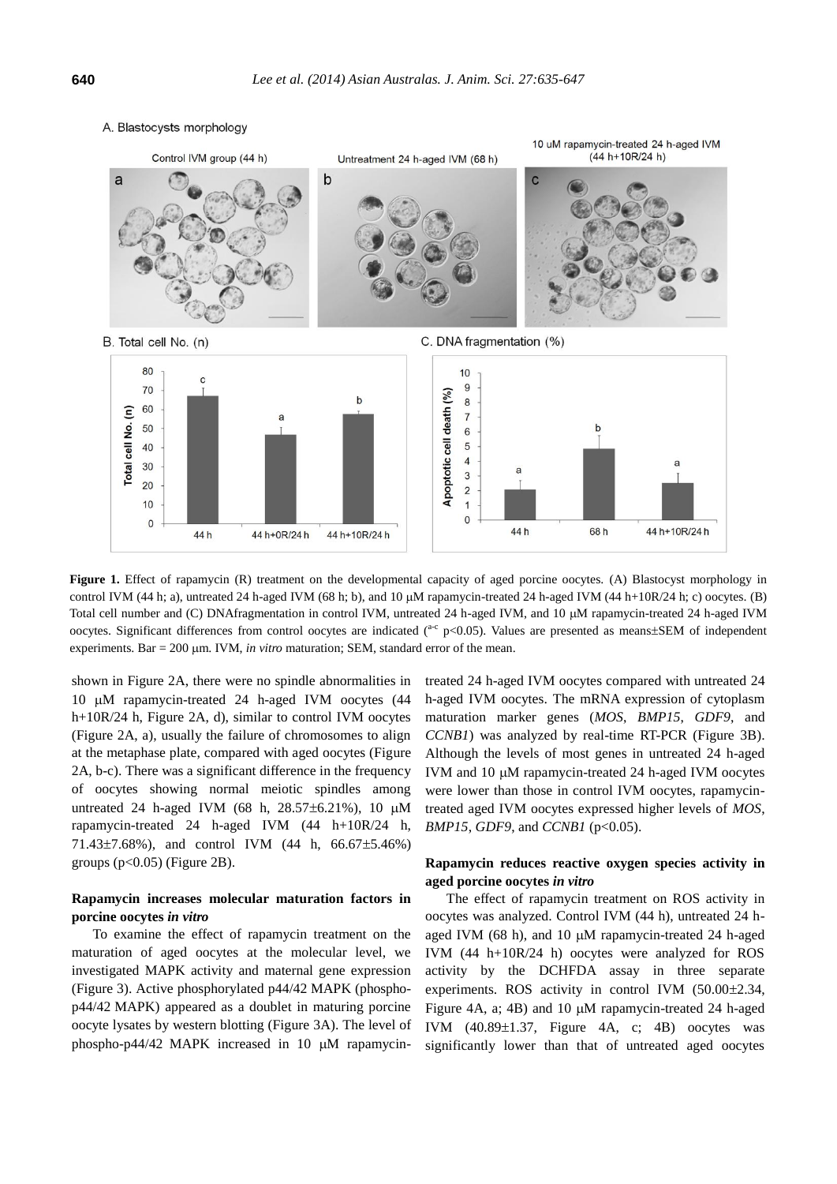

Figure 1. Effect of rapamycin (R) treatment on the developmental capacity of aged porcine oocytes. (A) Blastocyst morphology in control IVM (44 h; a), untreated 24 h-aged IVM (68 h; b), and 10  $\mu$ M rapamycin-treated 24 h-aged IVM (44 h+10R/24 h; c) oocytes. (B) Total cell number and (C) DNAfragmentation in control IVM, untreated 24 h-aged IVM, and 10  $\mu$ M rapamycin-treated 24 h-aged IVM oocytes. Significant differences from control oocytes are indicated  $(^{ac}$  p<0.05). Values are presented as means $\pm$ SEM of independent experiments. Bar  $= 200 \mu m$ . IVM, *in vitro* maturation; SEM, standard error of the mean.

shown in Figure 2A, there were no spindle abnormalities in 10 µM rapamycin-treated 24 h-aged IVM oocytes (44 h+10R/24 h, Figure 2A, d), similar to control IVM oocytes (Figure 2A, a), usually the failure of chromosomes to align at the metaphase plate, compared with aged oocytes (Figure 2A, b-c). There was a significant difference in the frequency of oocytes showing normal meiotic spindles among untreated 24 h-aged IVM (68 h,  $28.57\pm6.21\%$ ), 10  $\mu$ M rapamycin-treated 24 h-aged IVM (44 h+10R/24 h, 71.43 $\pm$ 7.68%), and control IVM (44 h, 66.67 $\pm$ 5.46%) groups  $(p<0.05)$  (Figure 2B).

# **Rapamycin increases molecular maturation factors in porcine oocytes** *in vitro*

To examine the effect of rapamycin treatment on the maturation of aged oocytes at the molecular level, we investigated MAPK activity and maternal gene expression (Figure 3). Active phosphorylated p44/42 MAPK (phosphop44/42 MAPK) appeared as a doublet in maturing porcine oocyte lysates by western blotting (Figure 3A). The level of phospho-p44/42 MAPK increased in 10  $\mu$ M rapamycintreated 24 h-aged IVM oocytes compared with untreated 24 h-aged IVM oocytes. The mRNA expression of cytoplasm maturation marker genes (*MOS*, *BMP15*, *GDF9*, and *CCNB1*) was analyzed by real-time RT-PCR (Figure 3B). Although the levels of most genes in untreated 24 h-aged IVM and  $10 \mu$ M rapamycin-treated  $24$  h-aged IVM oocytes were lower than those in control IVM oocytes, rapamycintreated aged IVM oocytes expressed higher levels of *MOS*, *BMP15*, *GDF9*, and *CCNB1* (p<0.05).

# **Rapamycin reduces reactive oxygen species activity in aged porcine oocytes** *in vitro*

The effect of rapamycin treatment on ROS activity in oocytes was analyzed. Control IVM (44 h), untreated 24 haged IVM  $(68 h)$ , and  $10 \mu$ M rapamycin-treated 24 h-aged IVM (44 h+10R/24 h) oocytes were analyzed for ROS activity by the DCHFDA assay in three separate experiments. ROS activity in control IVM  $(50.00\pm2.34,$ Figure 4A, a; 4B) and 10  $\mu$ M rapamycin-treated 24 h-aged IVM  $(40.89\pm1.37,$  Figure 4A, c; 4B) oocytes was significantly lower than that of untreated aged oocytes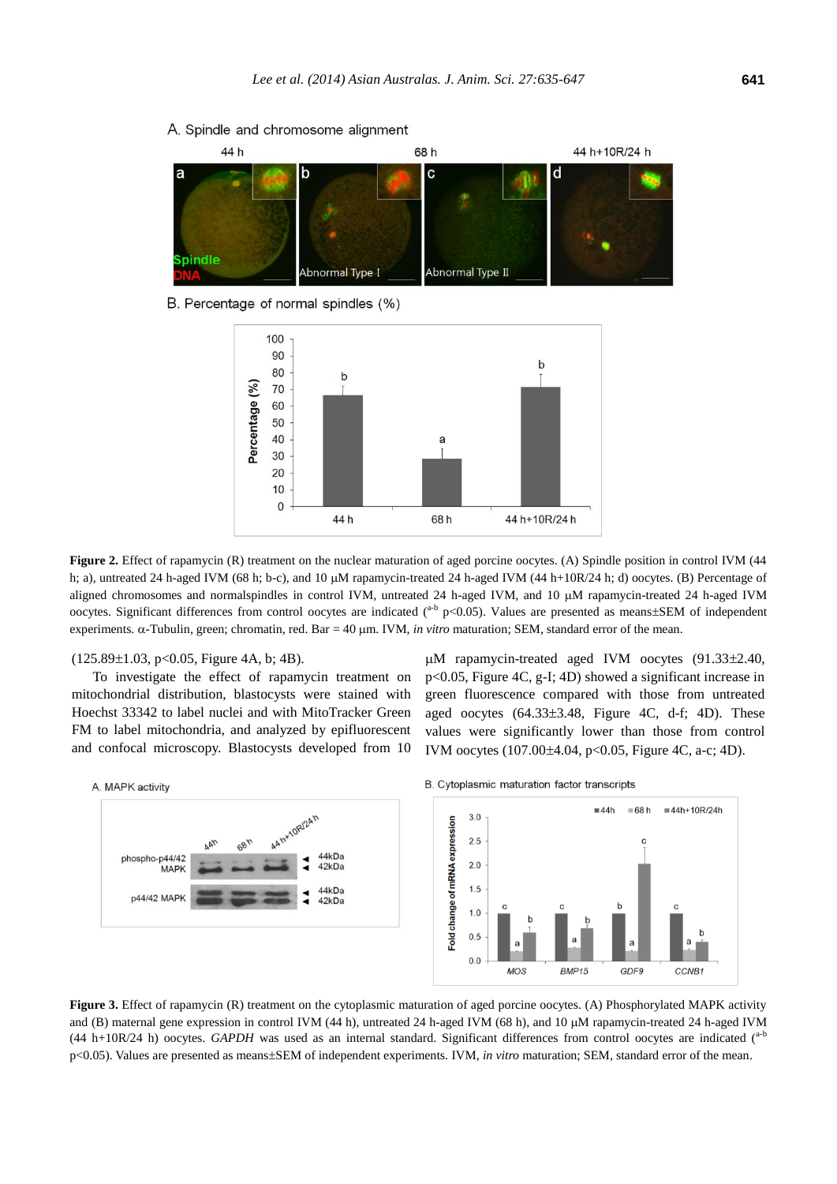

### A. Spindle and chromosome alignment

B. Percentage of normal spindles (%)



**Figure 2.** Effect of rapamycin (R) treatment on the nuclear maturation of aged porcine oocytes. (A) Spindle position in control IVM (44 h; a), untreated 24 h-aged IVM (68 h; b-c), and 10  $\mu$ M rapamycin-treated 24 h-aged IVM (44 h+10R/24 h; d) oocytes. (B) Percentage of aligned chromosomes and normalspindles in control IVM, untreated 24 h-aged IVM, and 10  $\mu$ M rapamycin-treated 24 h-aged IVM oocytes. Significant differences from control oocytes are indicated (<sup>a-b</sup> p<0.05). Values are presented as means±SEM of independent experiments.  $\alpha$ -Tubulin, green; chromatin, red. Bar = 40  $\mu$ m. IVM, *in vitro* maturation; SEM, standard error of the mean.

#### $(125.89\pm1.03, p<0.05,$  Figure 4A, b; 4B).

To investigate the effect of rapamycin treatment on mitochondrial distribution, blastocysts were stained with Hoechst 33342 to label nuclei and with MitoTracker Green FM to label mitochondria, and analyzed by epifluorescent and confocal microscopy. Blastocysts developed from 10  $\mu$ M rapamycin-treated aged IVM oocytes (91.33 $\pm$ 2.40, p<0.05, Figure 4C, g-I; 4D) showed a significant increase in green fluorescence compared with those from untreated aged oocytes  $(64.33\pm3.48,$  Figure 4C, d-f; 4D). These values were significantly lower than those from control IVM oocytes  $(107.00 \pm 4.04, \text{ p} < 0.05, \text{ Figure 4C}, \text{ a-c}; 4D)$ .



B. Cytoplasmic maturation factor transcripts



**Figure 3.** Effect of rapamycin (R) treatment on the cytoplasmic maturation of aged porcine oocytes. (A) Phosphorylated MAPK activity and (B) maternal gene expression in control IVM (44 h), untreated 24 h-aged IVM (68 h), and 10  $\mu$ M rapamycin-treated 24 h-aged IVM (44 h+10R/24 h) oocytes. *GAPDH* was used as an internal standard. Significant differences from control oocytes are indicated (a-b p<0.05). Values are presented as means±SEM of independent experiments. IVM, *in vitro* maturation; SEM, standard error of the mean.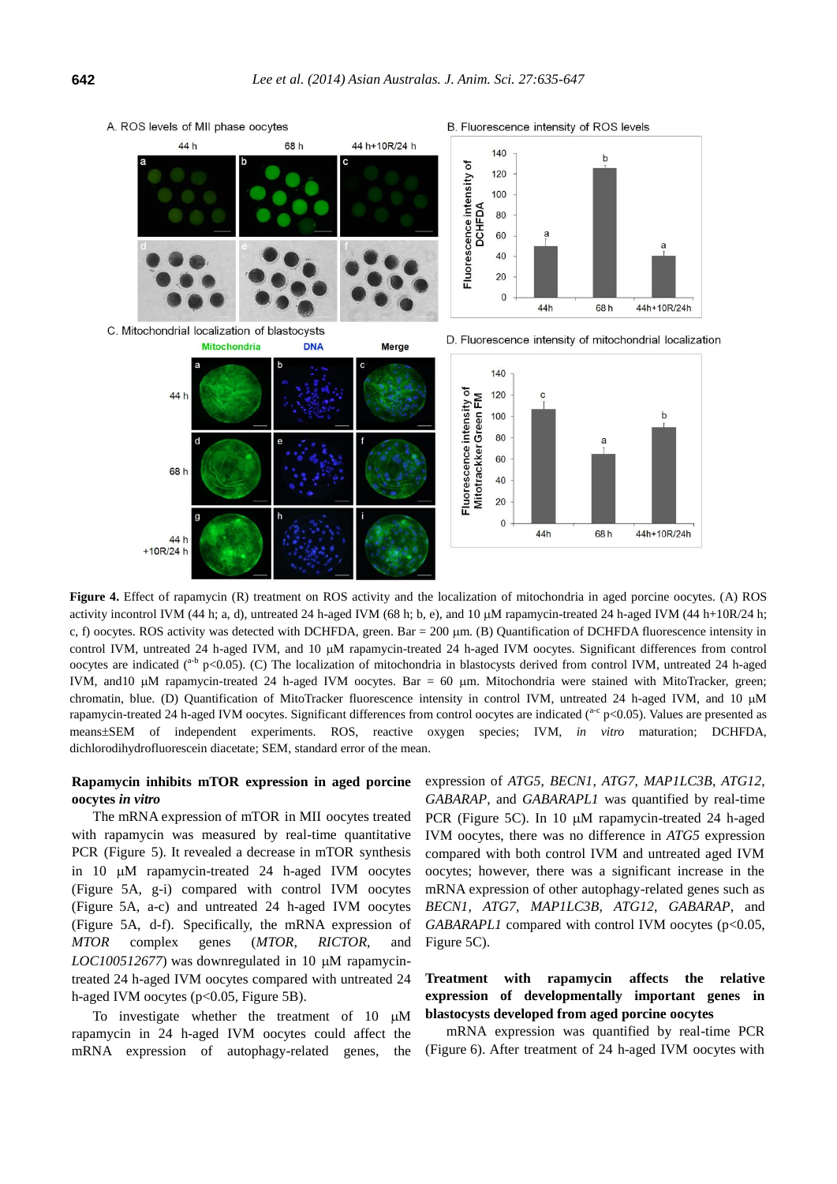

**Figure 4.** Effect of rapamycin (R) treatment on ROS activity and the localization of mitochondria in aged porcine oocytes. (A) ROS activity incontrol IVM (44 h; a, d), untreated 24 h-aged IVM (68 h; b, e), and 10  $\mu$ M rapamycin-treated 24 h-aged IVM (44 h+10R/24 h; c, f) oocytes. ROS activity was detected with DCHFDA, green. Bar = 200  $\mu$ m. (B) Quantification of DCHFDA fluorescence intensity in control IVM, untreated 24 h-aged IVM, and 10 µM rapamycin-treated 24 h-aged IVM oocytes. Significant differences from control oocytes are indicated (<sup>a-b</sup> p<0.05). (C) The localization of mitochondria in blastocysts derived from control IVM, untreated 24 h-aged IVM, and 10  $\mu$ M rapamycin-treated 24 h-aged IVM oocytes. Bar = 60  $\mu$ m. Mitochondria were stained with MitoTracker, green; chromatin, blue. (D) Quantification of MitoTracker fluorescence intensity in control IVM, untreated 24 h-aged IVM, and 10 µM rapamycin-treated 24 h-aged IVM oocytes. Significant differences from control oocytes are indicated  $(^{ac}$  p<0.05). Values are presented as meansSEM of independent experiments. ROS, reactive oxygen species; IVM, *in vitro* maturation; DCHFDA, dichlorodihydrofluorescein diacetate; SEM, standard error of the mean.

# **Rapamycin inhibits mTOR expression in aged porcine oocytes** *in vitro*

The mRNA expression of mTOR in MII oocytes treated with rapamycin was measured by real-time quantitative PCR (Figure 5). It revealed a decrease in mTOR synthesis in  $10 \mu M$  rapamycin-treated  $24$  h-aged IVM oocytes (Figure 5A, g-i) compared with control IVM oocytes (Figure 5A, a-c) and untreated 24 h-aged IVM oocytes (Figure 5A, d-f). Specifically, the mRNA expression of *MTOR* complex genes (*MTOR*, *RICTOR*, and  $LOC100512677$ ) was downregulated in 10  $\mu$ M rapamycintreated 24 h-aged IVM oocytes compared with untreated 24 h-aged IVM oocytes (p<0.05, Figure 5B).

To investigate whether the treatment of  $10 \mu M$ rapamycin in 24 h-aged IVM oocytes could affect the mRNA expression of autophagy-related genes, the expression of *ATG5*, *BECN1*, *ATG7*, *MAP1LC3B*, *ATG12*, *GABARAP*, and *GABARAPL1* was quantified by real-time PCR (Figure 5C). In 10  $\mu$ M rapamycin-treated 24 h-aged IVM oocytes, there was no difference in *ATG5* expression compared with both control IVM and untreated aged IVM oocytes; however, there was a significant increase in the mRNA expression of other autophagy-related genes such as *BECN1*, *ATG7*, *MAP1LC3B*, *ATG12*, *GABARAP*, and *GABARAPL1* compared with control IVM oocytes (p<0.05, Figure 5C).

# **Treatment with rapamycin affects the relative expression of developmentally important genes in blastocysts developed from aged porcine oocytes**

mRNA expression was quantified by real-time PCR (Figure 6). After treatment of 24 h-aged IVM oocytes with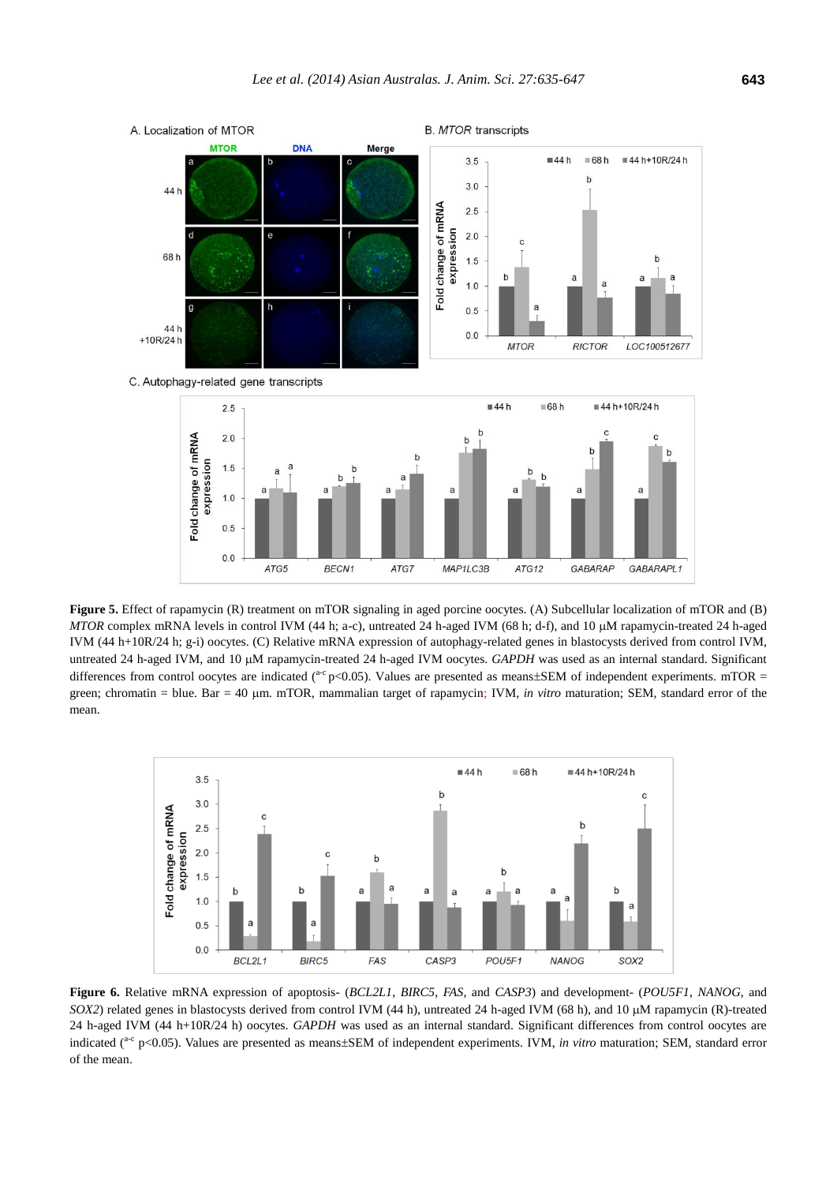

**Figure 5.** Effect of rapamycin (R) treatment on mTOR signaling in aged porcine oocytes. (A) Subcellular localization of mTOR and (B) *MTOR* complex mRNA levels in control IVM (44 h; a-c), untreated 24 h-aged IVM (68 h; d-f), and 10 µM rapamycin-treated 24 h-aged IVM (44 h+10R/24 h; g-i) oocytes. (C) Relative mRNA expression of autophagy-related genes in blastocysts derived from control IVM, untreated 24 h-aged IVM, and 10  $\mu$ M rapamycin-treated 24 h-aged IVM oocytes. *GAPDH* was used as an internal standard. Significant differences from control oocytes are indicated ( $a-c$  p<0.05). Values are presented as means±SEM of independent experiments. mTOR = green; chromatin = blue. Bar = 40 µm. mTOR, mammalian target of rapamycin; IVM, *in vitro* maturation; SEM, standard error of the mean.



**Figure 6.** Relative mRNA expression of apoptosis- (*BCL2L1*, *BIRC5*, *FAS*, and *CASP3*) and development- (*POU5F1*, *NANOG*, and *SOX2*) related genes in blastocysts derived from control IVM (44 h), untreated 24 h-aged IVM (68 h), and 10 µM rapamycin (R)-treated 24 h-aged IVM (44 h+10R/24 h) oocytes. *GAPDH* was used as an internal standard. Significant differences from control oocytes are indicated (<sup>a-c</sup> p<0.05). Values are presented as means±SEM of independent experiments. IVM, *in vitro* maturation; SEM, standard error of the mean.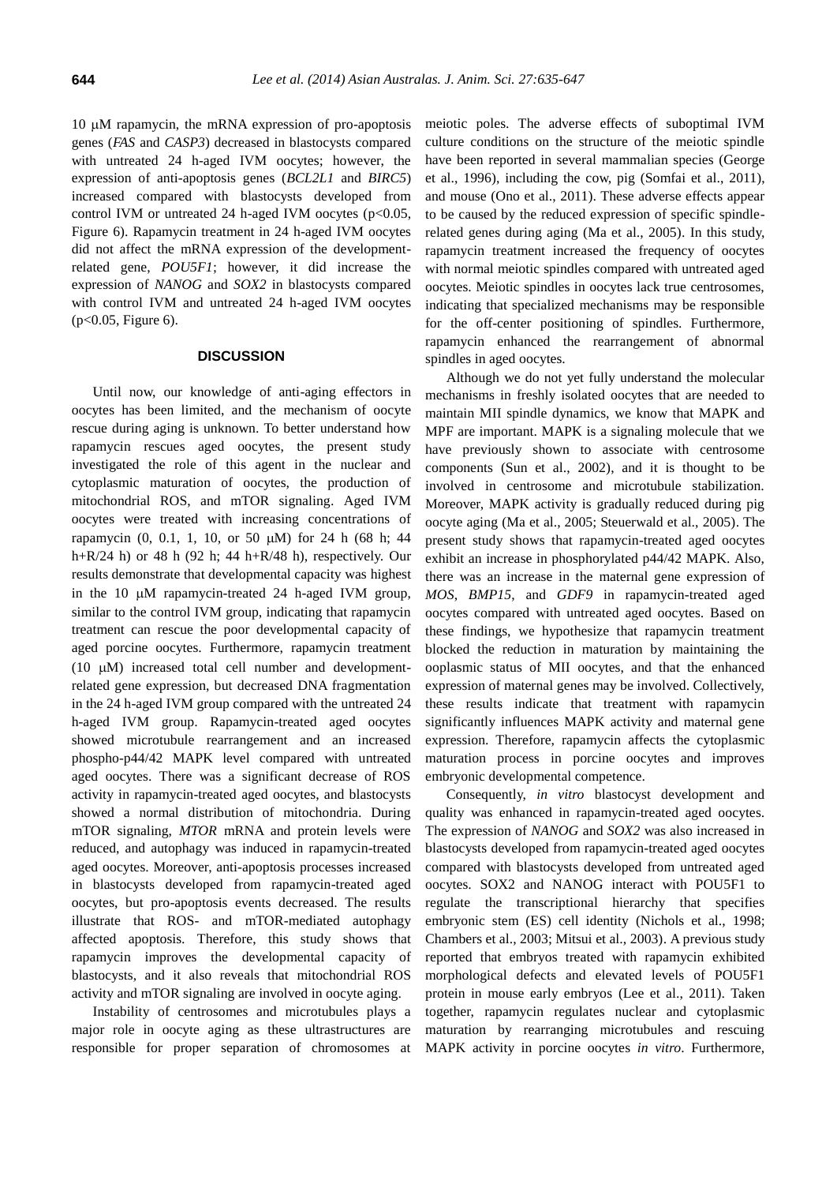$10 \mu$ M rapamycin, the mRNA expression of pro-apoptosis genes (*FAS* and *CASP3*) decreased in blastocysts compared with untreated 24 h-aged IVM oocytes; however, the expression of anti-apoptosis genes (*BCL2L1* and *BIRC5*) increased compared with blastocysts developed from control IVM or untreated 24 h-aged IVM oocytes ( $p$ <0.05, Figure 6). Rapamycin treatment in 24 h-aged IVM oocytes did not affect the mRNA expression of the developmentrelated gene, *POU5F1*; however, it did increase the expression of *NANOG* and *SOX2* in blastocysts compared with control IVM and untreated 24 h-aged IVM oocytes (p<0.05, Figure 6).

### **DISCUSSION**

Until now, our knowledge of anti-aging effectors in oocytes has been limited, and the mechanism of oocyte rescue during aging is unknown. To better understand how rapamycin rescues aged oocytes, the present study investigated the role of this agent in the nuclear and cytoplasmic maturation of oocytes, the production of mitochondrial ROS, and mTOR signaling. Aged IVM oocytes were treated with increasing concentrations of rapamycin  $(0, 0.1, 1, 10, \text{ or } 50 \mu M)$  for 24 h  $(68 \text{ h}; 44 \mu M)$ h+R/24 h) or 48 h (92 h; 44 h+R/48 h), respectively. Our results demonstrate that developmental capacity was highest in the 10  $\mu$ M rapamycin-treated 24 h-aged IVM group, similar to the control IVM group, indicating that rapamycin treatment can rescue the poor developmental capacity of aged porcine oocytes. Furthermore, rapamycin treatment (10  $\mu$ M) increased total cell number and developmentrelated gene expression, but decreased DNA fragmentation in the 24 h-aged IVM group compared with the untreated 24 h-aged IVM group. Rapamycin-treated aged oocytes showed microtubule rearrangement and an increased phospho-p44/42 MAPK level compared with untreated aged oocytes. There was a significant decrease of ROS activity in rapamycin-treated aged oocytes, and blastocysts showed a normal distribution of mitochondria. During mTOR signaling, *MTOR* mRNA and protein levels were reduced, and autophagy was induced in rapamycin-treated aged oocytes. Moreover, anti-apoptosis processes increased in blastocysts developed from rapamycin-treated aged oocytes, but pro-apoptosis events decreased. The results illustrate that ROS- and mTOR-mediated autophagy affected apoptosis. Therefore, this study shows that rapamycin improves the developmental capacity of blastocysts, and it also reveals that mitochondrial ROS activity and mTOR signaling are involved in oocyte aging.

Instability of centrosomes and microtubules plays a major role in oocyte aging as these ultrastructures are responsible for proper separation of chromosomes at meiotic poles. The adverse effects of suboptimal IVM culture conditions on the structure of the meiotic spindle have been reported in several mammalian species (George et al., 1996), including the cow, pig (Somfai et al., 2011), and mouse (Ono et al., 2011). These adverse effects appear to be caused by the reduced expression of specific spindlerelated genes during aging (Ma et al., 2005). In this study, rapamycin treatment increased the frequency of oocytes with normal meiotic spindles compared with untreated aged oocytes. Meiotic spindles in oocytes lack true centrosomes, indicating that specialized mechanisms may be responsible for the off-center positioning of spindles. Furthermore, rapamycin enhanced the rearrangement of abnormal spindles in aged oocytes.

Although we do not yet fully understand the molecular mechanisms in freshly isolated oocytes that are needed to maintain MII spindle dynamics, we know that MAPK and MPF are important. MAPK is a signaling molecule that we have previously shown to associate with centrosome components (Sun et al., 2002), and it is thought to be involved in centrosome and microtubule stabilization. Moreover, MAPK activity is gradually reduced during pig oocyte aging (Ma et al., 2005; Steuerwald et al., 2005). The present study shows that rapamycin-treated aged oocytes exhibit an increase in phosphorylated p44/42 MAPK. Also, there was an increase in the maternal gene expression of *MOS*, *BMP15*, and *GDF9* in rapamycin-treated aged oocytes compared with untreated aged oocytes. Based on these findings, we hypothesize that rapamycin treatment blocked the reduction in maturation by maintaining the ooplasmic status of MII oocytes, and that the enhanced expression of maternal genes may be involved. Collectively, these results indicate that treatment with rapamycin significantly influences MAPK activity and maternal gene expression. Therefore, rapamycin affects the cytoplasmic maturation process in porcine oocytes and improves embryonic developmental competence.

Consequently, *in vitro* blastocyst development and quality was enhanced in rapamycin-treated aged oocytes. The expression of *NANOG* and *SOX2* was also increased in blastocysts developed from rapamycin-treated aged oocytes compared with blastocysts developed from untreated aged oocytes. SOX2 and NANOG interact with POU5F1 to regulate the transcriptional hierarchy that specifies embryonic stem (ES) cell identity (Nichols et al., 1998; Chambers et al., 2003; Mitsui et al., 2003). A previous study reported that embryos treated with rapamycin exhibited morphological defects and elevated levels of POU5F1 protein in mouse early embryos (Lee et al., 2011). Taken together, rapamycin regulates nuclear and cytoplasmic maturation by rearranging microtubules and rescuing MAPK activity in porcine oocytes *in vitro*. Furthermore,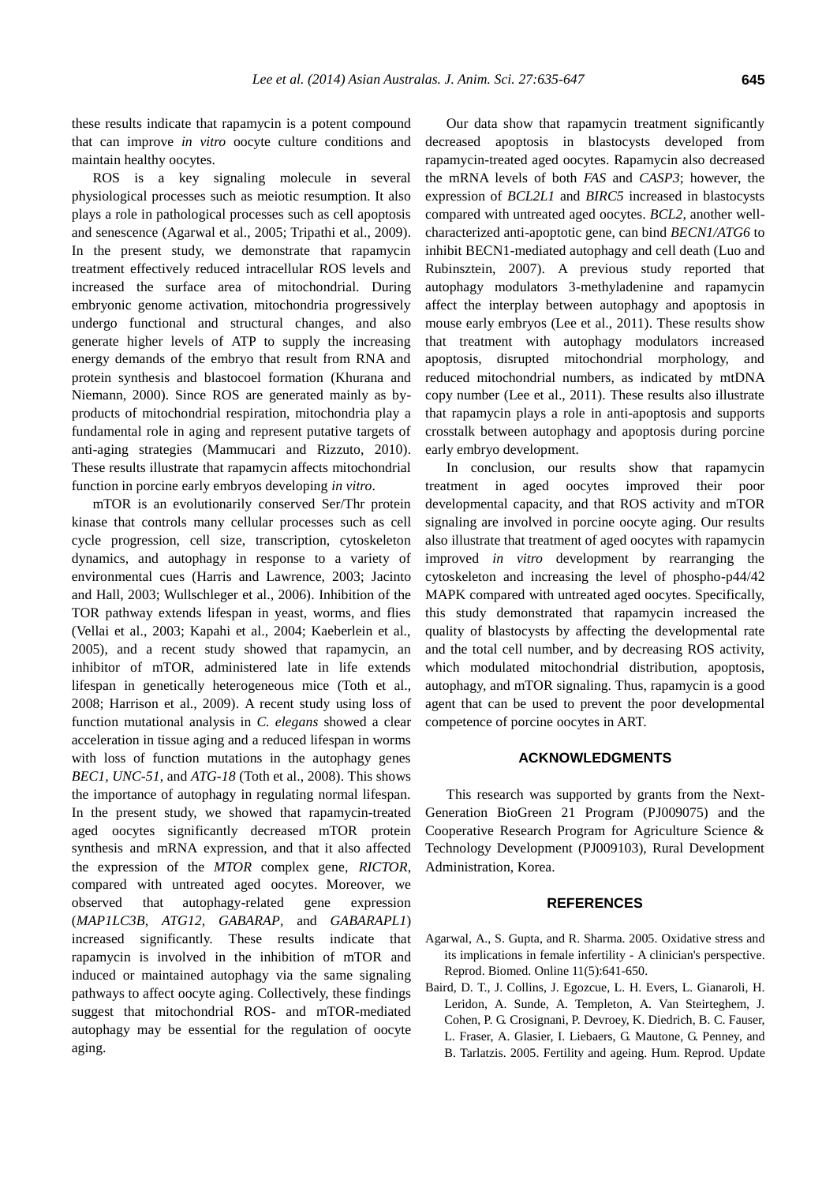these results indicate that rapamycin is a potent compound that can improve *in vitro* oocyte culture conditions and maintain healthy oocytes.

ROS is a key signaling molecule in several physiological processes such as meiotic resumption. It also plays a role in pathological processes such as cell apoptosis and senescence (Agarwal et al., 2005; Tripathi et al., 2009). In the present study, we demonstrate that rapamycin treatment effectively reduced intracellular ROS levels and increased the surface area of mitochondrial. During embryonic genome activation, mitochondria progressively undergo functional and structural changes, and also generate higher levels of ATP to supply the increasing energy demands of the embryo that result from RNA and protein synthesis and blastocoel formation (Khurana and Niemann, 2000). Since ROS are generated mainly as byproducts of mitochondrial respiration, mitochondria play a fundamental role in aging and represent putative targets of anti-aging strategies (Mammucari and Rizzuto, 2010). These results illustrate that rapamycin affects mitochondrial function in porcine early embryos developing *in vitro*.

mTOR is an evolutionarily conserved Ser/Thr protein kinase that controls many cellular processes such as cell cycle progression, cell size, transcription, cytoskeleton dynamics, and autophagy in response to a variety of environmental cues (Harris and Lawrence, 2003; Jacinto and Hall, 2003; Wullschleger et al., 2006). Inhibition of the TOR pathway extends lifespan in yeast, worms, and flies (Vellai et al., 2003; Kapahi et al., 2004; Kaeberlein et al., 2005), and a recent study showed that rapamycin, an inhibitor of mTOR, administered late in life extends lifespan in genetically heterogeneous mice (Toth et al., 2008; Harrison et al., 2009). A recent study using loss of function mutational analysis in *C. elegans* showed a clear acceleration in tissue aging and a reduced lifespan in worms with loss of function mutations in the autophagy genes *BEC1, UNC-51*, and *ATG-18* (Toth et al., 2008). This shows the importance of autophagy in regulating normal lifespan. In the present study, we showed that rapamycin-treated aged oocytes significantly decreased mTOR protein synthesis and mRNA expression, and that it also affected the expression of the *MTOR* complex gene, *RICTOR*, compared with untreated aged oocytes. Moreover, we observed that autophagy-related gene expression (*MAP1LC3B*, *ATG12*, *GABARAP*, and *GABARAPL1*) increased significantly. These results indicate that rapamycin is involved in the inhibition of mTOR and induced or maintained autophagy via the same signaling pathways to affect oocyte aging. Collectively, these findings suggest that mitochondrial ROS- and mTOR-mediated autophagy may be essential for the regulation of oocyte aging.

Our data show that rapamycin treatment significantly decreased apoptosis in blastocysts developed from rapamycin-treated aged oocytes. Rapamycin also decreased the mRNA levels of both *FAS* and *CASP3*; however, the expression of *BCL2L1* and *BIRC5* increased in blastocysts compared with untreated aged oocytes. *BCL2*, another wellcharacterized anti-apoptotic gene, can bind *BECN1/ATG6* to inhibit BECN1-mediated autophagy and cell death (Luo and Rubinsztein, 2007). A previous study reported that autophagy modulators 3-methyladenine and rapamycin affect the interplay between autophagy and apoptosis in mouse early embryos (Lee et al., 2011). These results show that treatment with autophagy modulators increased apoptosis, disrupted mitochondrial morphology, and reduced mitochondrial numbers, as indicated by mtDNA copy number (Lee et al., 2011). These results also illustrate that rapamycin plays a role in anti-apoptosis and supports crosstalk between autophagy and apoptosis during porcine early embryo development.

In conclusion, our results show that rapamycin treatment in aged oocytes improved their poor developmental capacity, and that ROS activity and mTOR signaling are involved in porcine oocyte aging. Our results also illustrate that treatment of aged oocytes with rapamycin improved *in vitro* development by rearranging the cytoskeleton and increasing the level of phospho-p44/42 MAPK compared with untreated aged oocytes. Specifically, this study demonstrated that rapamycin increased the quality of blastocysts by affecting the developmental rate and the total cell number, and by decreasing ROS activity, which modulated mitochondrial distribution, apoptosis, autophagy, and mTOR signaling. Thus, rapamycin is a good agent that can be used to prevent the poor developmental competence of porcine oocytes in ART.

# **ACKNOWLEDGMENTS**

This research was supported by grants from the Next-Generation BioGreen 21 Program (PJ009075) and the Cooperative Research Program for Agriculture Science & Technology Development (PJ009103), Rural Development Administration, Korea.

# **REFERENCES**

- Agarwal, A., S. Gupta, and R. Sharma. 2005. [Oxidative stress and](http://www.rbmojournal.com/article/S1472-6483(10)61174-1/abstract)  [its implications in female infertility -](http://www.rbmojournal.com/article/S1472-6483(10)61174-1/abstract) A clinician's perspective. Reprod. Biomed. Online 11(5):641-650.
- Baird, D. T., J. Collins, J. Egozcue, L. H. Evers, L. Gianaroli, H. Leridon, A. Sunde, A. Templeton, A. Van Steirteghem, J. Cohen, P. G. Crosignani, P. Devroey, K. Diedrich, B. C. Fauser, L. Fraser, A. Glasier, I. Liebaers, G. Mautone, G. Penney, and B. Tarlatzis. 2005. [Fertility and ageing.](http://www.ncbi.nlm.nih.gov/pubmed/15831503) Hum. Reprod. Update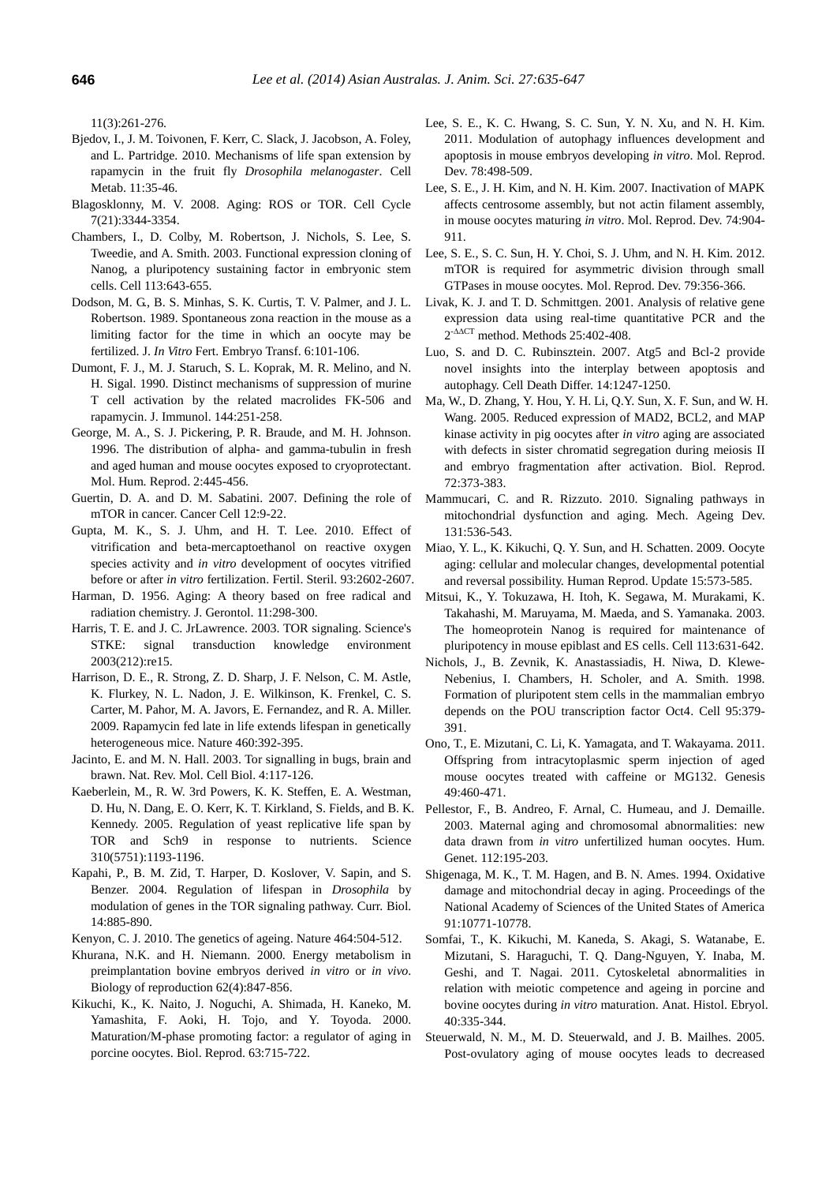11(3):261-276.

- Bjedov, I., J. M. Toivonen, F. Kerr, C. Slack, J. Jacobson, A. Foley, and L. Partridge. 2010. [Mechanisms of life span extension by](http://www.cell.com/cell-metabolism/retrieve/pii/S155041310900374X)  [rapamycin in the fruit fly](http://www.cell.com/cell-metabolism/retrieve/pii/S155041310900374X) *Drosophila melanogaster*. Cell Metab. 11:35-46.
- Blagosklonny, M. V. 2008. [Aging: ROS or TOR.](https://www.landesbioscience.com/journals/cc/BlagosklonnyCC7-21.pdf) Cell Cycle 7(21):3344-3354.
- Chambers, I., D. Colby, M. Robertson, J. Nichols, S. Lee, S. Tweedie, and A. Smith. 2003[. Functional expression cloning of](http://www.cell.com/retrieve/pii/S0092867403003921)  [Nanog, a pluripotency sustaining factor in embryonic stem](http://www.cell.com/retrieve/pii/S0092867403003921)  [cells.](http://www.cell.com/retrieve/pii/S0092867403003921) Cell 113:643-655.
- Dodson, M. G., B. S. Minhas, S. K. Curtis, T. V. Palmer, and J. L. Robertson. 1989. [Spontaneous zona reaction in the mouse as a](http://link.springer.com/article/10.1007/BF01130735)  [limiting factor for the time in which an oocyte may be](http://link.springer.com/article/10.1007/BF01130735)  [fertilized.](http://link.springer.com/article/10.1007/BF01130735) J. *In Vitro* Fert. Embryo Transf. 6:101-106.
- [Dumont, F.](http://www.ncbi.nlm.nih.gov/pubmed?term=Dumont%20FJ%5BAuthor%5D&cauthor=true&cauthor_uid=1688572) J., M. J. [Staruch,](http://www.ncbi.nlm.nih.gov/pubmed?term=Staruch%20MJ%5BAuthor%5D&cauthor=true&cauthor_uid=1688572) S. L. [Koprak,](http://www.ncbi.nlm.nih.gov/pubmed?term=Koprak%20SL%5BAuthor%5D&cauthor=true&cauthor_uid=1688572) M. R. [Melino,](http://www.ncbi.nlm.nih.gov/pubmed?term=Melino%20MR%5BAuthor%5D&cauthor=true&cauthor_uid=1688572) and N. H. [Sigal.](http://www.ncbi.nlm.nih.gov/pubmed?term=Sigal%20NH%5BAuthor%5D&cauthor=true&cauthor_uid=1688572) 1990. [Distinct mechanisms of suppression of murine](http://www.jimmunol.org/content/144/1/251.short)  [T cell activation by the related macrolides FK-506 and](http://www.jimmunol.org/content/144/1/251.short)  [rapamycin.](http://www.jimmunol.org/content/144/1/251.short) J. [Immunol.](http://www.ncbi.nlm.nih.gov/pubmed/1688572) 144:251-258.
- George, M. A., S. J. Pickering, P. R. Braude, and M. H. Johnson. 1996. The distribution of alpha- [and gamma-tubulin in fresh](http://molehr.oxfordjournals.org/content/2/6/445)  [and aged human and mouse oocytes exposed to cryoprotectant.](http://molehr.oxfordjournals.org/content/2/6/445)  Mol. Hum. Reprod. 2:445-456.
- Guertin, D. A. and D. M. Sabatini. 2007. [Defining the role of](http://www.cell.com/cancer-cell/retrieve/pii/S1535610807001511)  [mTOR in cancer.](http://www.cell.com/cancer-cell/retrieve/pii/S1535610807001511) Cancer Cell 12:9-22.
- Gupta, M. K., S. J. Uhm, and H. T. Lee. 2010. [Effect of](http://www.fertstert.org/article/S0015-0282(10)00103-2/abstract)  [vitrification and beta-mercaptoethanol on reactive oxygen](http://www.fertstert.org/article/S0015-0282(10)00103-2/abstract)  species activity and *in vitro* [development of oocytes vitrified](http://www.fertstert.org/article/S0015-0282(10)00103-2/abstract)  [before or after](http://www.fertstert.org/article/S0015-0282(10)00103-2/abstract) *in vitro* fertilization. Fertil. Steril. 93:2602-2607.
- Harman, D. 1956. Aging: A [theory based on free radical and](http://www.uccs.edu/Documents/rmelamed/harman_1956_13332224.pdf)  [radiation chemistry.](http://www.uccs.edu/Documents/rmelamed/harman_1956_13332224.pdf) J. Gerontol. 11:298-300.
- Harris, T. E. and J. C. JrLawrence. 2003[. TOR signaling.](http://stke.sciencemag.org/cgi/content/abstract/sigtrans;2003/212/re15?view=abstract) Science's STKE: signal transduction knowledge environment 2003(212):re15.
- Harrison, D. E., R. Strong, Z. D. Sharp, J. F. Nelson, C. M. Astle, K. Flurkey, N. L. Nadon, J. E. Wilkinson, K. Frenkel, C. S. Carter, M. Pahor, M. A. Javors, E. Fernandez, and R. A. Miller. 2009. [Rapamycin fed late in life extends lifespan in genetically](http://www.nature.com/nature/journal/v460/n7253/abs/nature08221.html)  [heterogeneous mice.](http://www.nature.com/nature/journal/v460/n7253/abs/nature08221.html) Nature 460:392-395.
- Jacinto, E. and M. N. Hall. 2003. [Tor signalling in bugs, brain and](http://www.nature.com/nrm/journal/v4/n2/abs/nrm1018.html)  [brawn.](http://www.nature.com/nrm/journal/v4/n2/abs/nrm1018.html) Nat. Rev. Mol. Cell Biol. 4:117-126.
- Kaeberlein, M., R. W. 3rd Powers, K. K. Steffen, E. A. Westman, D. Hu, N. Dang, E. O. Kerr, K. T. Kirkland, S. Fields, and B. K. Kennedy. 2005. [Regulation of yeast replicative life span by](http://www.sciencemag.org/content/310/5751/1193.short)  [TOR and Sch9 in response to nutrients.](http://www.sciencemag.org/content/310/5751/1193.short) Science 310(5751):1193-1196.
- Kapahi, P., B. M. Zid, T. Harper, D. Koslover, V. Sapin, and S. Benzer. 2004. [Regulation of lifespan in](http://www.cell.com/current-biology/retrieve/pii/S0960982204002386) *Drosophila* by [modulation of genes in the TOR signaling pathway.](http://www.cell.com/current-biology/retrieve/pii/S0960982204002386) Curr. Biol. 14:885-890.
- Kenyon, C. J. 2010. [The genetics of ageing.](http://www.nature.com/nature/journal/v464/n7288/abs/nature08980.html) Nature 464:504-512.
- Khurana, N.K. and H. Niemann. 2000. Energy metabolism in preimplantation bovine embryos derived *in vitro* or *in vivo*. Biology of reproduction 62(4):847-856.
- Kikuchi, K., K. Naito, J. Noguchi, A. Shimada, H. Kaneko, M. Yamashita, F. Aoki, H. Tojo, and Y. Toyoda. 2000. [Maturation/M-phase promoting factor: a regulator of aging in](http://www.biolreprod.org/content/63/3/715.short)  [porcine oocytes.](http://www.biolreprod.org/content/63/3/715.short) Biol. Reprod. 63:715-722.
- Lee, S. E., K. C. Hwang, S. C. Sun, Y. N. Xu, and N. H. Kim. 2011. [Modulation of autophagy influences development and](http://onlinelibrary.wiley.com/doi/10.1002/mrd.21331/abstract;jsessionid=3AE90C6013907E57FE34F09B57D483CD.f02t01?deniedAccessCustomisedMessage=&userIsAuthenticated=false)  [apoptosis in mouse embryos developing](http://onlinelibrary.wiley.com/doi/10.1002/mrd.21331/abstract;jsessionid=3AE90C6013907E57FE34F09B57D483CD.f02t01?deniedAccessCustomisedMessage=&userIsAuthenticated=false) *in vitro*. Mol. Reprod. Dev. 78:498-509.
- Lee, S. E., J. H. Kim, and N. H. Kim. 2007. [Inactivation of MAPK](http://onlinelibrary.wiley.com/doi/10.1002/mrd.20695/abstract)  [affects centrosome assembly, but not actin filament assembly,](http://onlinelibrary.wiley.com/doi/10.1002/mrd.20695/abstract)  [in mouse oocytes maturing](http://onlinelibrary.wiley.com/doi/10.1002/mrd.20695/abstract) *in vitro*. Mol. Reprod. Dev. 74:904- 911.
- Lee, S. E., S. C. Sun, H. Y. Choi, S. J. Uhm, and N. H. Kim. 2012. [mTOR is required for asymmetric division through small](http://onlinelibrary.wiley.com/doi/10.1002/mrd.22035/abstract?deniedAccessCustomisedMessage=&userIsAuthenticated=false) [GTPases in mouse oocytes.](http://onlinelibrary.wiley.com/doi/10.1002/mrd.22035/abstract?deniedAccessCustomisedMessage=&userIsAuthenticated=false) Mol. Reprod. Dev. 79:356-366.
- Livak, K. J. and T. D. Schmittgen. 2001[. Analysis of relative gene](http://www.sciencedirect.com/science/article/pii/S1046202301912629)  [expression data using real-time quantitative PCR](http://www.sciencedirect.com/science/article/pii/S1046202301912629) and the  $2^{-\Delta\Delta CT}$  [method.](http://www.sciencedirect.com/science/article/pii/S1046202301912629) Methods 25:402-408.
- Luo, S. and D. C. Rubinsztein. 2007. Atg5 and Bcl-2 provide novel insights into the interplay between apoptosis and autophagy. Cell Death Differ. 14:1247-1250.
- Ma, W., D. Zhang, Y. Hou, Y. H. Li, Q.Y. Sun, X. F. Sun, and W. H. Wang. 2005. [Reduced expression of MAD2, BCL2, and MAP](http://www.biolreprod.org/content/72/2/373.short)  [kinase activity in pig oocytes after](http://www.biolreprod.org/content/72/2/373.short) *in vitro* aging are associated [with defects in sister chromatid segregation during](http://www.biolreprod.org/content/72/2/373.short) meiosis II [and embryo fragmentation after activation.](http://www.biolreprod.org/content/72/2/373.short) Biol. Reprod. 72:373-383.
- Mammucari, C. and R. Rizzuto. 2010. [Signaling pathways in](http://www.sciencedirect.com/science/article/pii/S0047637410001351)  [mitochondrial dysfunction and aging.](http://www.sciencedirect.com/science/article/pii/S0047637410001351) Mech. Ageing Dev. 131:536-543.
- Miao, Y. L., K. Kikuchi, Q. Y. Sun, and H. Schatten. 2009. [Oocyte](http://humupd.oxfordjournals.org/content/15/5/573.short)  [aging: cellular and molecular changes, developmental potential](http://humupd.oxfordjournals.org/content/15/5/573.short)  [and reversal possibility.](http://humupd.oxfordjournals.org/content/15/5/573.short) Human Reprod. Update 15:573-585.
- Mitsui, K., Y. Tokuzawa, H. Itoh, K. Segawa, M. Murakami, K. Takahashi, M. Maruyama, M. Maeda, and S. Yamanaka. 2003. [The homeoprotein Nanog is required for maintenance of](http://www.sciencedirect.com/science/article/pii/S0092867403003933)  [pluripotency in mouse epiblast and ES cells.](http://www.sciencedirect.com/science/article/pii/S0092867403003933) Cell 113:631-642.
- Nichols, J., B. Zevnik, K. Anastassiadis, H. Niwa, D. Klewe-Nebenius, I. Chambers, H. Scholer, and A. Smith. 1998. [Formation of pluripotent stem cells in the mammalian embryo](http://www.sciencedirect.com/science/article/pii/S0092867400817699)  [depends on the POU transcription factor Oct4.](http://www.sciencedirect.com/science/article/pii/S0092867400817699) Cell 95:379- 391.
- Ono, T., E. Mizutani, C. Li, K. Yamagata, and T. Wakayama. 2011. [Offspring from intracytoplasmic sperm injection of aged](http://onlinelibrary.wiley.com/doi/10.1002/dvg.20756/abstract?deniedAccessCustomisedMessage=&userIsAuthenticated=false)  [mouse oocytes treated with caffeine or MG132.](http://onlinelibrary.wiley.com/doi/10.1002/dvg.20756/abstract?deniedAccessCustomisedMessage=&userIsAuthenticated=false) Genesis 49:460-471.
- Pellestor, F., B. Andreo, F. Arnal, C. Humeau, and J. Demaille. 2003. [Maternal aging and chromosomal abnormalities: new](http://link.springer.com/article/10.1007/s00439-002-0852-x)  data drawn from *in vitro* [unfertilized human oocytes.](http://link.springer.com/article/10.1007/s00439-002-0852-x) Hum. Genet. 112:195-203.
- Shigenaga, M. K., T. M. Hagen, and B. N. Ames. 1994. [Oxidative](http://www.pnas.org/content/91/23/10771.short)  [damage and mitochondrial decay in aging.](http://www.pnas.org/content/91/23/10771.short) Proceedings of the National Academy of Sciences of the United States of America 91:10771-10778.
- Somfai, T., K. Kikuchi, M. Kaneda, S. Akagi, S. Watanabe, E. Mizutani, S. Haraguchi, T. Q. Dang-Nguyen, Y. Inaba, M. Geshi, and T. Nagai. 2011. [Cytoskeletal abnormalities in](http://onlinelibrary.wiley.com/doi/10.1111/j.1439-0264.2011.01079.x/abstract?deniedAccessCustomisedMessage=&userIsAuthenticated=false)  [relation with meiotic competence and ageing in porcine and](http://onlinelibrary.wiley.com/doi/10.1111/j.1439-0264.2011.01079.x/abstract?deniedAccessCustomisedMessage=&userIsAuthenticated=false)  [bovine oocytes during](http://onlinelibrary.wiley.com/doi/10.1111/j.1439-0264.2011.01079.x/abstract?deniedAccessCustomisedMessage=&userIsAuthenticated=false) *in vitro* maturation. Anat. Histol. Ebryol. 40:335-344.
- Steuerwald, N. M., M. D. Steuerwald, and J. B. Mailhes. 2005. [Post-ovulatory aging of mouse oocytes leads to decreased](http://molehr.oxfordjournals.org/content/11/9/623.short)